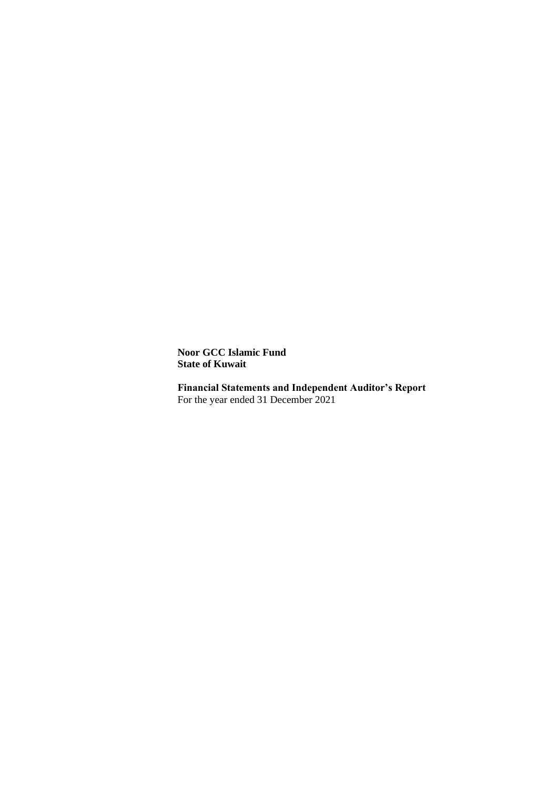**Noor GCC Islamic Fund State of Kuwait**

**Financial Statements and Independent Auditor's Report** For the year ended 31 December 2021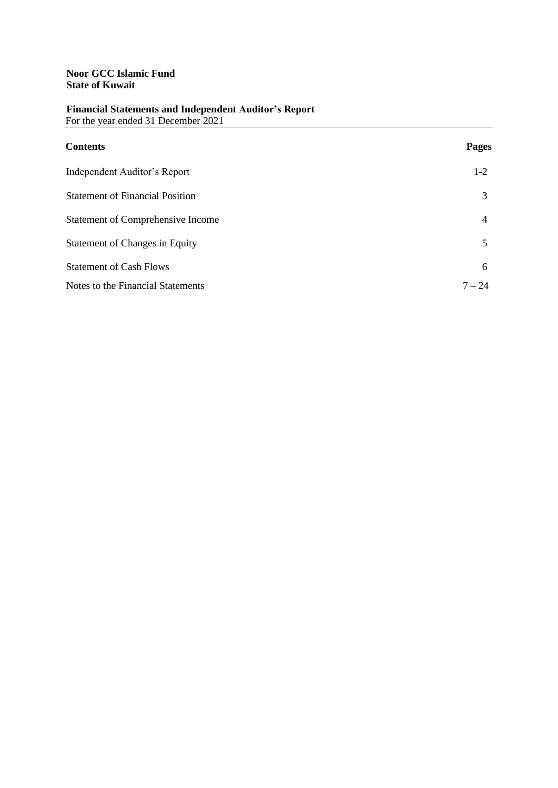| <b>Contents</b>                          | <b>Pages</b>   |
|------------------------------------------|----------------|
| Independent Auditor's Report             | $1-2$          |
| <b>Statement of Financial Position</b>   | 3              |
| <b>Statement of Comprehensive Income</b> | $\overline{4}$ |
| <b>Statement of Changes in Equity</b>    | 5              |
| <b>Statement of Cash Flows</b>           | 6              |
| Notes to the Financial Statements        | $7 - 24$       |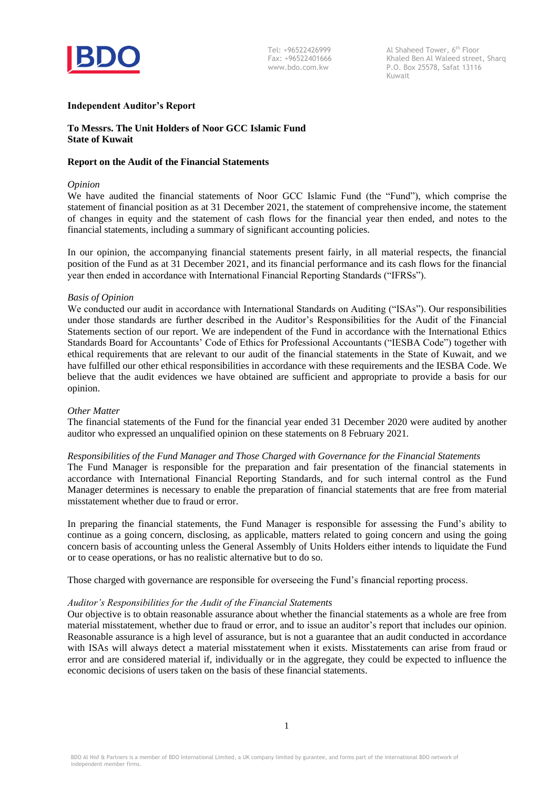

Al Shaheed Tower, 6<sup>th</sup> Floor Khaled Ben Al Waleed street, Sharq P.O. Box 25578, Safat 13116 Kuwait

#### **Independent Auditor's Report**

# **To Messrs. The Unit Holders of Noor GCC Islamic Fund State of Kuwait**

#### **Report on the Audit of the Financial Statements**

#### *Opinion*

We have audited the financial statements of Noor GCC Islamic Fund (the "Fund"), which comprise the statement of financial position as at 31 December 2021, the statement of comprehensive income, the statement of changes in equity and the statement of cash flows for the financial year then ended, and notes to the financial statements, including a summary of significant accounting policies.

In our opinion, the accompanying financial statements present fairly, in all material respects, the financial position of the Fund as at 31 December 2021, and its financial performance and its cash flows for the financial year then ended in accordance with International Financial Reporting Standards ("IFRSs").

#### *Basis of Opinion*

We conducted our audit in accordance with International Standards on Auditing ("ISAs"). Our responsibilities under those standards are further described in the Auditor's Responsibilities for the Audit of the Financial Statements section of our report. We are independent of the Fund in accordance with the International Ethics Standards Board for Accountants' Code of Ethics for Professional Accountants ("IESBA Code") together with ethical requirements that are relevant to our audit of the financial statements in the State of Kuwait, and we have fulfilled our other ethical responsibilities in accordance with these requirements and the IESBA Code. We believe that the audit evidences we have obtained are sufficient and appropriate to provide a basis for our opinion.

#### *Other Matter*

The financial statements of the Fund for the financial year ended 31 December 2020 were audited by another auditor who expressed an unqualified opinion on these statements on 8 February 2021.

### *Responsibilities of the Fund Manager and Those Charged with Governance for the Financial Statements*

The Fund Manager is responsible for the preparation and fair presentation of the financial statements in accordance with International Financial Reporting Standards, and for such internal control as the Fund Manager determines is necessary to enable the preparation of financial statements that are free from material misstatement whether due to fraud or error.

In preparing the financial statements, the Fund Manager is responsible for assessing the Fund's ability to continue as a going concern, disclosing, as applicable, matters related to going concern and using the going concern basis of accounting unless the General Assembly of Units Holders either intends to liquidate the Fund or to cease operations, or has no realistic alternative but to do so.

Those charged with governance are responsible for overseeing the Fund's financial reporting process.

#### *Auditor's Responsibilities for the Audit of the Financial Statements*

Our objective is to obtain reasonable assurance about whether the financial statements as a whole are free from material misstatement, whether due to fraud or error, and to issue an auditor's report that includes our opinion. Reasonable assurance is a high level of assurance, but is not a guarantee that an audit conducted in accordance with ISAs will always detect a material misstatement when it exists. Misstatements can arise from fraud or error and are considered material if, individually or in the aggregate, they could be expected to influence the economic decisions of users taken on the basis of these financial statements.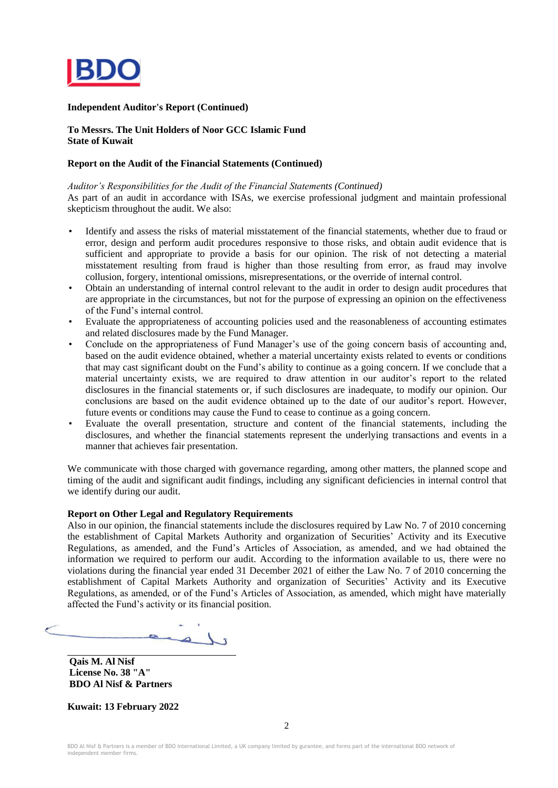

#### **Independent Auditor's Report (Continued)**

#### **To Messrs. The Unit Holders of Noor GCC Islamic Fund State of Kuwait**

#### **Report on the Audit of the Financial Statements (Continued)**

*Auditor's Responsibilities for the Audit of the Financial Statements (Continued)*

As part of an audit in accordance with ISAs, we exercise professional judgment and maintain professional skepticism throughout the audit. We also:

- Identify and assess the risks of material misstatement of the financial statements, whether due to fraud or error, design and perform audit procedures responsive to those risks, and obtain audit evidence that is sufficient and appropriate to provide a basis for our opinion. The risk of not detecting a material misstatement resulting from fraud is higher than those resulting from error, as fraud may involve collusion, forgery, intentional omissions, misrepresentations, or the override of internal control.
- Obtain an understanding of internal control relevant to the audit in order to design audit procedures that are appropriate in the circumstances, but not for the purpose of expressing an opinion on the effectiveness of the Fund's internal control.
- Evaluate the appropriateness of accounting policies used and the reasonableness of accounting estimates and related disclosures made by the Fund Manager.
- Conclude on the appropriateness of Fund Manager's use of the going concern basis of accounting and, based on the audit evidence obtained, whether a material uncertainty exists related to events or conditions that may cast significant doubt on the Fund's ability to continue as a going concern. If we conclude that a material uncertainty exists, we are required to draw attention in our auditor's report to the related disclosures in the financial statements or, if such disclosures are inadequate, to modify our opinion. Our conclusions are based on the audit evidence obtained up to the date of our auditor's report. However, future events or conditions may cause the Fund to cease to continue as a going concern.
- Evaluate the overall presentation, structure and content of the financial statements, including the disclosures, and whether the financial statements represent the underlying transactions and events in a manner that achieves fair presentation.

We communicate with those charged with governance regarding, among other matters, the planned scope and timing of the audit and significant audit findings, including any significant deficiencies in internal control that we identify during our audit.

#### **Report on Other Legal and Regulatory Requirements**

Also in our opinion, the financial statements include the disclosures required by Law No. 7 of 2010 concerning the establishment of Capital Markets Authority and organization of Securities' Activity and its Executive Regulations, as amended, and the Fund's Articles of Association, as amended, and we had obtained the information we required to perform our audit. According to the information available to us, there were no violations during the financial year ended 31 December 2021 of either the Law No. 7 of 2010 concerning the establishment of Capital Markets Authority and organization of Securities' Activity and its Executive Regulations, as amended, or of the Fund's Articles of Association, as amended, which might have materially affected the Fund's activity or its financial position.

 $\sim$ 

**Qais M. Al Nisf License No. 38 "A" BDO Al Nisf & Partners**

**Kuwait: 13 February 2022**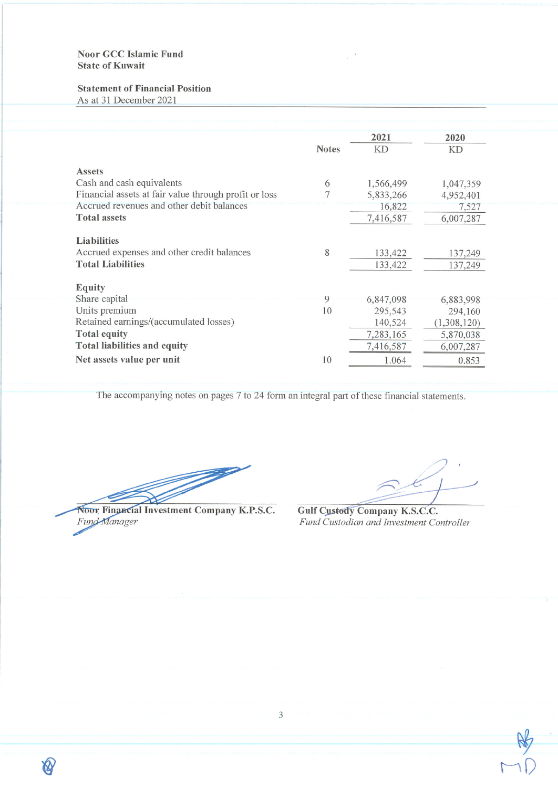# **Noor GCC Islamic Fund State of Kuwait**

# **Statement of Financial Position**

As at 31 December 2021

|                                                       |              | 2021      | 2020        |
|-------------------------------------------------------|--------------|-----------|-------------|
|                                                       | <b>Notes</b> | <b>KD</b> | KD          |
| <b>Assets</b>                                         |              |           |             |
| Cash and cash equivalents                             | 6            | 1,566,499 | 1,047,359   |
| Financial assets at fair value through profit or loss | 7            | 5,833,266 | 4,952,401   |
| Accrued revenues and other debit balances             |              | 16,822    | 7,527       |
| <b>Total assets</b>                                   |              | 7,416,587 | 6,007,287   |
| <b>Liabilities</b>                                    |              |           |             |
| Accrued expenses and other credit balances            | 8            | 133,422   | 137,249     |
| <b>Total Liabilities</b>                              |              | 133,422   | 137,249     |
| <b>Equity</b>                                         |              |           |             |
| Share capital                                         | 9            | 6,847,098 | 6,883,998   |
| Units premium                                         | 10           | 295,543   | 294,160     |
| Retained earnings/(accumulated losses)                |              | 140,524   | (1,308,120) |
| <b>Total equity</b>                                   |              | 7,283,165 | 5,870,038   |
| <b>Total liabilities and equity</b>                   |              | 7,416,587 | 6,007,287   |
| Net assets value per unit                             | 10           | 1.064     | 0.853       |
|                                                       |              |           |             |

The accompanying notes on pages 7 to 24 form an integral part of these financial statements.

Noor Financial Investment Company K.P.S.C.<br>Fund-Manager

 $\mathbb{Q}$ 

Gulf Custody Company K.S.C.C. Fund Custodian and Investment Controller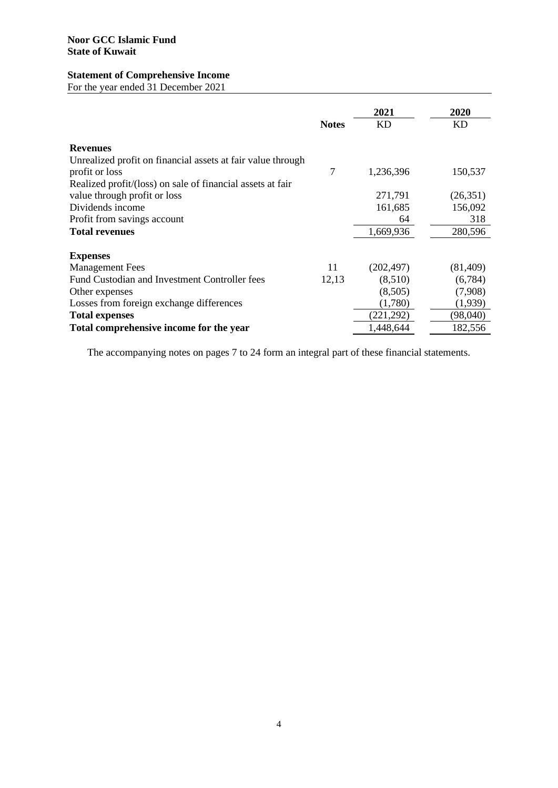# **Statement of Comprehensive Income**

For the year ended 31 December 2021

|                                                             | <b>Notes</b> | 2021<br>KD | 2020<br>KD |
|-------------------------------------------------------------|--------------|------------|------------|
| <b>Revenues</b>                                             |              |            |            |
| Unrealized profit on financial assets at fair value through |              |            |            |
| profit or loss                                              | 7            | 1,236,396  | 150,537    |
| Realized profit/(loss) on sale of financial assets at fair  |              |            |            |
| value through profit or loss                                |              | 271,791    | (26,351)   |
| Dividends income                                            |              | 161,685    | 156,092    |
| Profit from savings account                                 |              | 64         | 318        |
| <b>Total revenues</b>                                       |              | 1,669,936  | 280,596    |
| <b>Expenses</b>                                             |              |            |            |
| <b>Management Fees</b>                                      | 11           | (202, 497) | (81, 409)  |
| Fund Custodian and Investment Controller fees               | 12,13        | (8,510)    | (6,784)    |
| Other expenses                                              |              | (8,505)    | (7,908)    |
| Losses from foreign exchange differences                    |              | (1,780)    | (1,939)    |
| <b>Total expenses</b>                                       |              | (221, 292) | (98,040)   |
| Total comprehensive income for the year                     |              | 1,448,644  | 182,556    |

The accompanying notes on pages 7 to 24 form an integral part of these financial statements.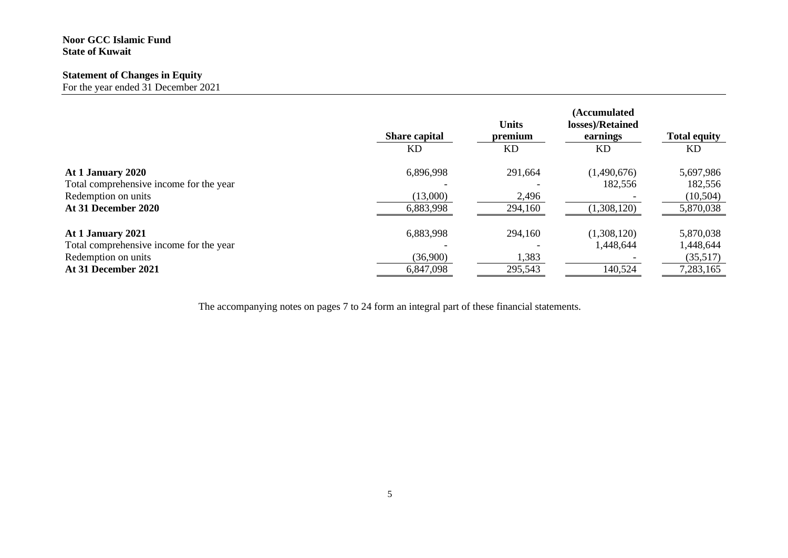# **Noor GCC Islamic Fund State of Kuwait**

# **Statement of Changes in Equity**

For the year ended 31 December 2021

|                                         | <b>Share capital</b><br>KD. | <b>Units</b><br>premium<br><b>KD</b> | (Accumulated<br>losses)/Retained<br>earnings<br>KD | <b>Total equity</b><br>KD |
|-----------------------------------------|-----------------------------|--------------------------------------|----------------------------------------------------|---------------------------|
| At 1 January 2020                       | 6,896,998                   | 291,664                              | (1,490,676)                                        | 5,697,986                 |
| Total comprehensive income for the year |                             |                                      | 182,556                                            | 182,556                   |
| Redemption on units                     | (13,000)                    | 2,496                                |                                                    | (10, 504)                 |
| At 31 December 2020                     | 6,883,998                   | 294,160                              | (1,308,120)                                        | 5,870,038                 |
| At 1 January 2021                       | 6,883,998                   | 294,160                              | (1,308,120)                                        | 5,870,038                 |
| Total comprehensive income for the year |                             |                                      | 1,448,644                                          | 1,448,644                 |
| Redemption on units                     | (36,900)                    | 1,383                                |                                                    | (35,517)                  |
| At 31 December 2021                     | 6,847,098                   | 295,543                              | 140,524                                            | 7,283,165                 |

The accompanying notes on pages 7 to 24 form an integral part of these financial statements.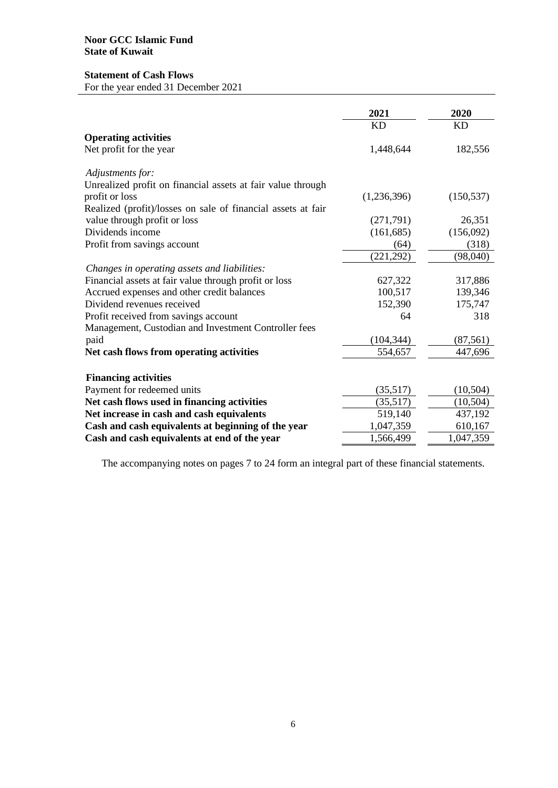# **Statement of Cash Flows**

For the year ended 31 December 2021

|                                                              | 2021        | 2020       |
|--------------------------------------------------------------|-------------|------------|
|                                                              | <b>KD</b>   | <b>KD</b>  |
| <b>Operating activities</b>                                  |             |            |
| Net profit for the year                                      | 1,448,644   | 182,556    |
| Adjustments for:                                             |             |            |
| Unrealized profit on financial assets at fair value through  |             |            |
| profit or loss                                               | (1,236,396) | (150, 537) |
| Realized (profit)/losses on sale of financial assets at fair |             |            |
| value through profit or loss                                 | (271, 791)  | 26,351     |
| Dividends income                                             | (161, 685)  | (156,092)  |
| Profit from savings account                                  | (64)        | (318)      |
|                                                              | (221, 292)  | (98,040)   |
| Changes in operating assets and liabilities:                 |             |            |
| Financial assets at fair value through profit or loss        | 627,322     | 317,886    |
| Accrued expenses and other credit balances                   | 100,517     | 139,346    |
| Dividend revenues received                                   | 152,390     | 175,747    |
| Profit received from savings account                         | 64          | 318        |
| Management, Custodian and Investment Controller fees         |             |            |
| paid                                                         | (104, 344)  | (87, 561)  |
| Net cash flows from operating activities                     | 554,657     | 447,696    |
| <b>Financing activities</b>                                  |             |            |
| Payment for redeemed units                                   | (35,517)    | (10, 504)  |
| Net cash flows used in financing activities                  | (35,517)    | (10, 504)  |
| Net increase in cash and cash equivalents                    | 519,140     | 437,192    |
| Cash and cash equivalents at beginning of the year           | 1,047,359   | 610,167    |
| Cash and cash equivalents at end of the year                 | 1,566,499   | 1,047,359  |

The accompanying notes on pages 7 to 24 form an integral part of these financial statements.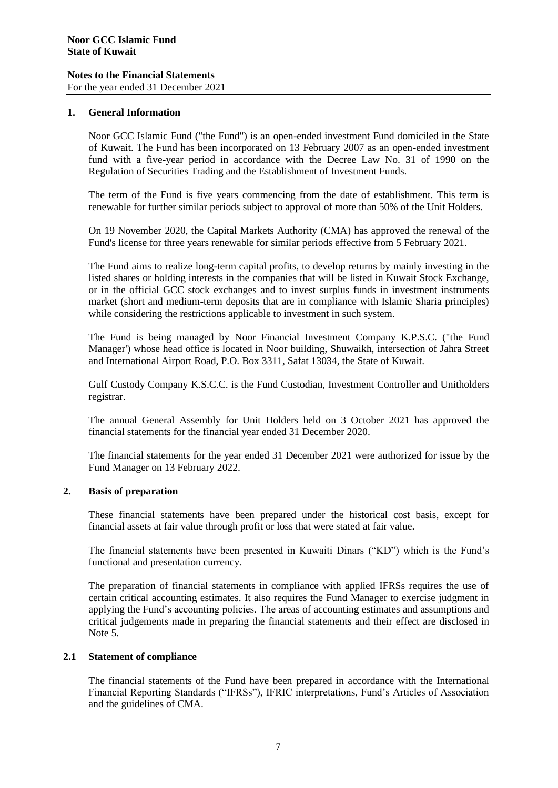For the year ended 31 December 2021

### **1. General Information**

Noor GCC Islamic Fund ("the Fund") is an open-ended investment Fund domiciled in the State of Kuwait. The Fund has been incorporated on 13 February 2007 as an open-ended investment fund with a five-year period in accordance with the Decree Law No. 31 of 1990 on the Regulation of Securities Trading and the Establishment of Investment Funds.

The term of the Fund is five years commencing from the date of establishment. This term is renewable for further similar periods subject to approval of more than 50% of the Unit Holders.

On 19 November 2020, the Capital Markets Authority (CMA) has approved the renewal of the Fund's license for three years renewable for similar periods effective from 5 February 2021.

The Fund aims to realize long-term capital profits, to develop returns by mainly investing in the listed shares or holding interests in the companies that will be listed in Kuwait Stock Exchange, or in the official GCC stock exchanges and to invest surplus funds in investment instruments market (short and medium-term deposits that are in compliance with Islamic Sharia principles) while considering the restrictions applicable to investment in such system.

The Fund is being managed by Noor Financial Investment Company K.P.S.C. ("the Fund Manager') whose head office is located in Noor building, Shuwaikh, intersection of Jahra Street and International Airport Road, P.O. Box 3311, Safat 13034, the State of Kuwait.

Gulf Custody Company K.S.C.C. is the Fund Custodian, Investment Controller and Unitholders registrar.

The annual General Assembly for Unit Holders held on 3 October 2021 has approved the financial statements for the financial year ended 31 December 2020.

The financial statements for the year ended 31 December 2021 were authorized for issue by the Fund Manager on 13 February 2022.

# **2. Basis of preparation**

These financial statements have been prepared under the historical cost basis, except for financial assets at fair value through profit or loss that were stated at fair value.

The financial statements have been presented in Kuwaiti Dinars ("KD") which is the Fund's functional and presentation currency.

The preparation of financial statements in compliance with applied IFRSs requires the use of certain critical accounting estimates. It also requires the Fund Manager to exercise judgment in applying the Fund's accounting policies. The areas of accounting estimates and assumptions and critical judgements made in preparing the financial statements and their effect are disclosed in Note 5.

#### **2.1 Statement of compliance**

The financial statements of the Fund have been prepared in accordance with the International Financial Reporting Standards ("IFRSs"), IFRIC interpretations, Fund's Articles of Association and the guidelines of CMA.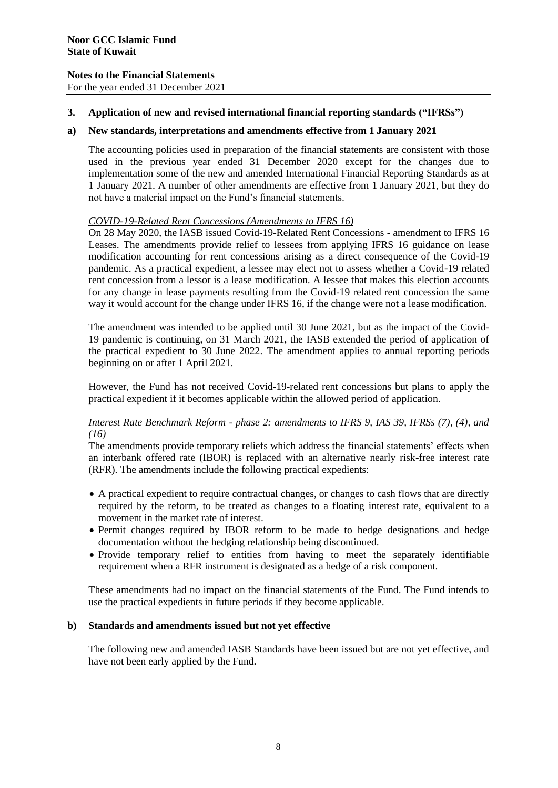For the year ended 31 December 2021

# **3. Application of new and revised international financial reporting standards ("IFRSs")**

# **a) New standards, interpretations and amendments effective from 1 January 2021**

The accounting policies used in preparation of the financial statements are consistent with those used in the previous year ended 31 December 2020 except for the changes due to implementation some of the new and amended International Financial Reporting Standards as at 1 January 2021. A number of other amendments are effective from 1 January 2021, but they do not have a material impact on the Fund's financial statements.

# *COVID-19-Related Rent Concessions (Amendments to IFRS 16)*

On 28 May 2020, the IASB issued Covid-19-Related Rent Concessions - amendment to IFRS 16 Leases. The amendments provide relief to lessees from applying IFRS 16 guidance on lease modification accounting for rent concessions arising as a direct consequence of the Covid-19 pandemic. As a practical expedient, a lessee may elect not to assess whether a Covid-19 related rent concession from a lessor is a lease modification. A lessee that makes this election accounts for any change in lease payments resulting from the Covid-19 related rent concession the same way it would account for the change under IFRS 16, if the change were not a lease modification.

The amendment was intended to be applied until 30 June 2021, but as the impact of the Covid-19 pandemic is continuing, on 31 March 2021, the IASB extended the period of application of the practical expedient to 30 June 2022. The amendment applies to annual reporting periods beginning on or after 1 April 2021.

However, the Fund has not received Covid-19-related rent concessions but plans to apply the practical expedient if it becomes applicable within the allowed period of application.

### *Interest Rate Benchmark Reform - phase 2: amendments to IFRS 9, IAS 39, IFRSs (7), (4), and (16)*

The amendments provide temporary reliefs which address the financial statements' effects when an interbank offered rate (IBOR) is replaced with an alternative nearly risk-free interest rate (RFR). The amendments include the following practical expedients:

- A practical expedient to require contractual changes, or changes to cash flows that are directly required by the reform, to be treated as changes to a floating interest rate, equivalent to a movement in the market rate of interest.
- Permit changes required by IBOR reform to be made to hedge designations and hedge documentation without the hedging relationship being discontinued.
- Provide temporary relief to entities from having to meet the separately identifiable requirement when a RFR instrument is designated as a hedge of a risk component.

These amendments had no impact on the financial statements of the Fund. The Fund intends to use the practical expedients in future periods if they become applicable.

# **b) Standards and amendments issued but not yet effective**

The following new and amended IASB Standards have been issued but are not yet effective, and have not been early applied by the Fund.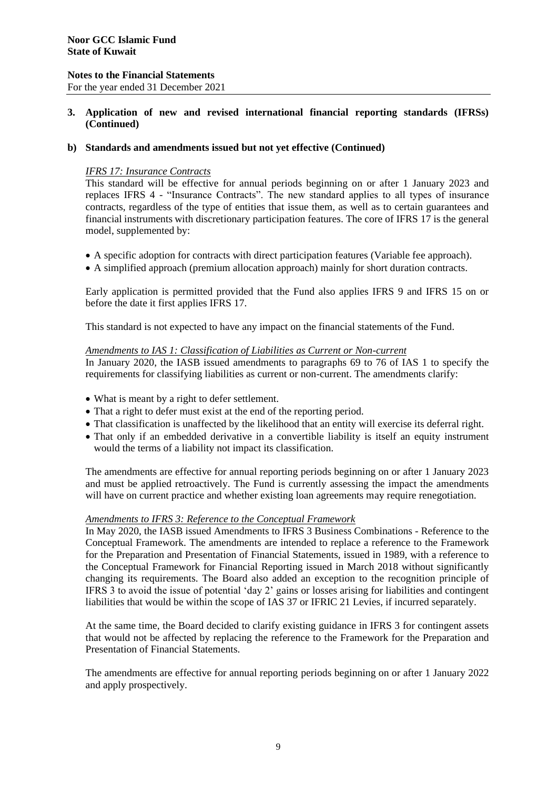For the year ended 31 December 2021

# **3. Application of new and revised international financial reporting standards (IFRSs) (Continued)**

### **b) Standards and amendments issued but not yet effective (Continued)**

### *IFRS 17: Insurance Contracts*

This standard will be effective for annual periods beginning on or after 1 January 2023 and replaces IFRS 4 - "Insurance Contracts". The new standard applies to all types of insurance contracts, regardless of the type of entities that issue them, as well as to certain guarantees and financial instruments with discretionary participation features. The core of IFRS 17 is the general model, supplemented by:

- A specific adoption for contracts with direct participation features (Variable fee approach).
- A simplified approach (premium allocation approach) mainly for short duration contracts.

Early application is permitted provided that the Fund also applies IFRS 9 and IFRS 15 on or before the date it first applies IFRS 17.

This standard is not expected to have any impact on the financial statements of the Fund.

#### *Amendments to IAS 1: Classification of Liabilities as Current or Non-current*

In January 2020, the IASB issued amendments to paragraphs 69 to 76 of IAS 1 to specify the requirements for classifying liabilities as current or non-current. The amendments clarify:

- What is meant by a right to defer settlement.
- That a right to defer must exist at the end of the reporting period.
- That classification is unaffected by the likelihood that an entity will exercise its deferral right.
- That only if an embedded derivative in a convertible liability is itself an equity instrument would the terms of a liability not impact its classification.

The amendments are effective for annual reporting periods beginning on or after 1 January 2023 and must be applied retroactively. The Fund is currently assessing the impact the amendments will have on current practice and whether existing loan agreements may require renegotiation.

#### *Amendments to IFRS 3: Reference to the Conceptual Framework*

In May 2020, the IASB issued Amendments to IFRS 3 Business Combinations - Reference to the Conceptual Framework. The amendments are intended to replace a reference to the Framework for the Preparation and Presentation of Financial Statements, issued in 1989, with a reference to the Conceptual Framework for Financial Reporting issued in March 2018 without significantly changing its requirements. The Board also added an exception to the recognition principle of IFRS 3 to avoid the issue of potential 'day 2' gains or losses arising for liabilities and contingent liabilities that would be within the scope of IAS 37 or IFRIC 21 Levies, if incurred separately.

At the same time, the Board decided to clarify existing guidance in IFRS 3 for contingent assets that would not be affected by replacing the reference to the Framework for the Preparation and Presentation of Financial Statements.

The amendments are effective for annual reporting periods beginning on or after 1 January 2022 and apply prospectively.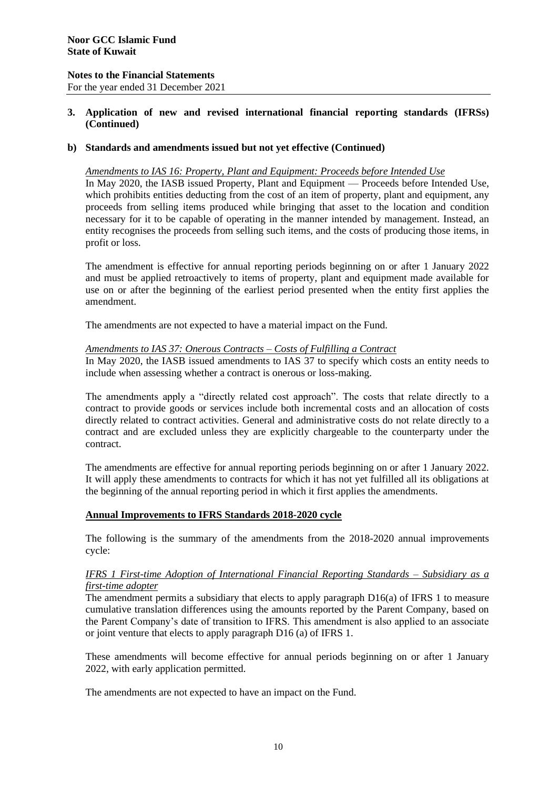For the year ended 31 December 2021

# **3. Application of new and revised international financial reporting standards (IFRSs) (Continued)**

# **b) Standards and amendments issued but not yet effective (Continued)**

#### *Amendments to IAS 16: Property, Plant and Equipment: Proceeds before Intended Use*

In May 2020, the IASB issued Property, Plant and Equipment — Proceeds before Intended Use, which prohibits entities deducting from the cost of an item of property, plant and equipment, any proceeds from selling items produced while bringing that asset to the location and condition necessary for it to be capable of operating in the manner intended by management. Instead, an entity recognises the proceeds from selling such items, and the costs of producing those items, in profit or loss.

The amendment is effective for annual reporting periods beginning on or after 1 January 2022 and must be applied retroactively to items of property, plant and equipment made available for use on or after the beginning of the earliest period presented when the entity first applies the amendment.

The amendments are not expected to have a material impact on the Fund.

### *Amendments to IAS 37: Onerous Contracts – Costs of Fulfilling a Contract*

In May 2020, the IASB issued amendments to IAS 37 to specify which costs an entity needs to include when assessing whether a contract is onerous or loss-making.

The amendments apply a "directly related cost approach". The costs that relate directly to a contract to provide goods or services include both incremental costs and an allocation of costs directly related to contract activities. General and administrative costs do not relate directly to a contract and are excluded unless they are explicitly chargeable to the counterparty under the contract.

The amendments are effective for annual reporting periods beginning on or after 1 January 2022. It will apply these amendments to contracts for which it has not yet fulfilled all its obligations at the beginning of the annual reporting period in which it first applies the amendments.

# **Annual Improvements to IFRS Standards 2018-2020 cycle**

The following is the summary of the amendments from the 2018-2020 annual improvements cycle:

### *IFRS 1 First-time Adoption of International Financial Reporting Standards – Subsidiary as a first-time adopter*

The amendment permits a subsidiary that elects to apply paragraph D16(a) of IFRS 1 to measure cumulative translation differences using the amounts reported by the Parent Company, based on the Parent Company's date of transition to IFRS. This amendment is also applied to an associate or joint venture that elects to apply paragraph D16 (a) of IFRS 1.

These amendments will become effective for annual periods beginning on or after 1 January 2022, with early application permitted.

The amendments are not expected to have an impact on the Fund.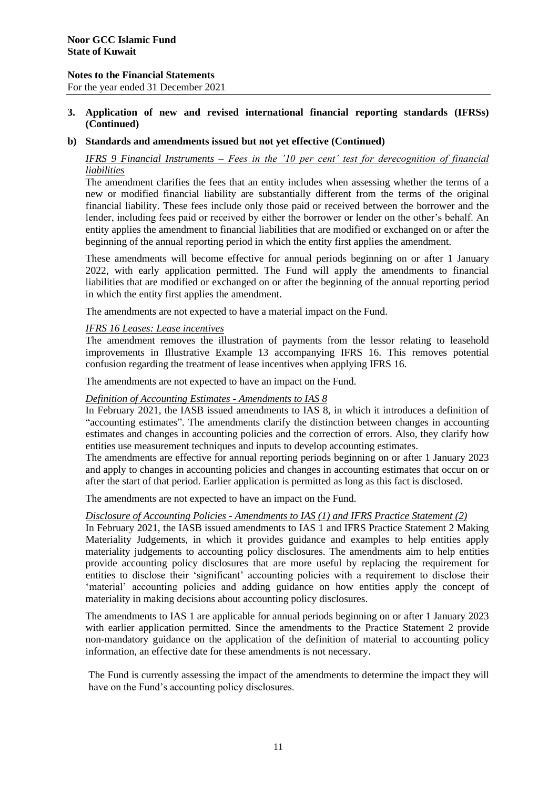For the year ended 31 December 2021

# **3. Application of new and revised international financial reporting standards (IFRSs) (Continued)**

### **b) Standards and amendments issued but not yet effective (Continued)**

# *IFRS 9 Financial Instruments – Fees in the '10 per cent' test for derecognition of financial liabilities*

The amendment clarifies the fees that an entity includes when assessing whether the terms of a new or modified financial liability are substantially different from the terms of the original financial liability. These fees include only those paid or received between the borrower and the lender, including fees paid or received by either the borrower or lender on the other's behalf. An entity applies the amendment to financial liabilities that are modified or exchanged on or after the beginning of the annual reporting period in which the entity first applies the amendment.

These amendments will become effective for annual periods beginning on or after 1 January 2022, with early application permitted. The Fund will apply the amendments to financial liabilities that are modified or exchanged on or after the beginning of the annual reporting period in which the entity first applies the amendment.

The amendments are not expected to have a material impact on the Fund.

### *IFRS 16 Leases: Lease incentives*

The amendment removes the illustration of payments from the lessor relating to leasehold improvements in Illustrative Example 13 accompanying IFRS 16. This removes potential confusion regarding the treatment of lease incentives when applying IFRS 16.

The amendments are not expected to have an impact on the Fund.

# *Definition of Accounting Estimates - Amendments to IAS 8*

In February 2021, the IASB issued amendments to IAS 8, in which it introduces a definition of "accounting estimates". The amendments clarify the distinction between changes in accounting estimates and changes in accounting policies and the correction of errors. Also, they clarify how entities use measurement techniques and inputs to develop accounting estimates.

The amendments are effective for annual reporting periods beginning on or after 1 January 2023 and apply to changes in accounting policies and changes in accounting estimates that occur on or after the start of that period. Earlier application is permitted as long as this fact is disclosed.

The amendments are not expected to have an impact on the Fund.

# *Disclosure of Accounting Policies - Amendments to IAS (1) and IFRS Practice Statement (2)*

In February 2021, the IASB issued amendments to IAS 1 and IFRS Practice Statement 2 Making Materiality Judgements, in which it provides guidance and examples to help entities apply materiality judgements to accounting policy disclosures. The amendments aim to help entities provide accounting policy disclosures that are more useful by replacing the requirement for entities to disclose their 'significant' accounting policies with a requirement to disclose their 'material' accounting policies and adding guidance on how entities apply the concept of materiality in making decisions about accounting policy disclosures.

The amendments to IAS 1 are applicable for annual periods beginning on or after 1 January 2023 with earlier application permitted. Since the amendments to the Practice Statement 2 provide non-mandatory guidance on the application of the definition of material to accounting policy information, an effective date for these amendments is not necessary.

The Fund is currently assessing the impact of the amendments to determine the impact they will have on the Fund's accounting policy disclosures.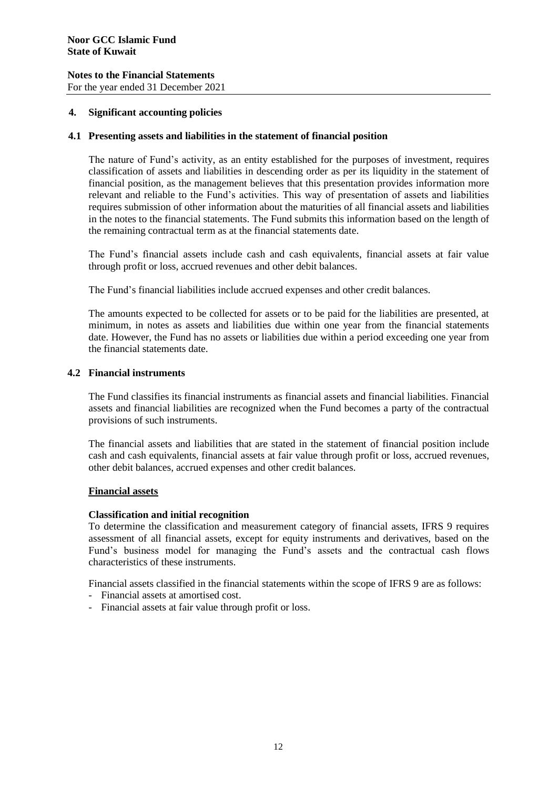For the year ended 31 December 2021

### **4. Significant accounting policies**

#### **4.1 Presenting assets and liabilities in the statement of financial position**

The nature of Fund's activity, as an entity established for the purposes of investment, requires classification of assets and liabilities in descending order as per its liquidity in the statement of financial position, as the management believes that this presentation provides information more relevant and reliable to the Fund's activities. This way of presentation of assets and liabilities requires submission of other information about the maturities of all financial assets and liabilities in the notes to the financial statements. The Fund submits this information based on the length of the remaining contractual term as at the financial statements date.

The Fund's financial assets include cash and cash equivalents, financial assets at fair value through profit or loss, accrued revenues and other debit balances.

The Fund's financial liabilities include accrued expenses and other credit balances.

The amounts expected to be collected for assets or to be paid for the liabilities are presented, at minimum, in notes as assets and liabilities due within one year from the financial statements date. However, the Fund has no assets or liabilities due within a period exceeding one year from the financial statements date.

### **4.2 Financial instruments**

The Fund classifies its financial instruments as financial assets and financial liabilities. Financial assets and financial liabilities are recognized when the Fund becomes a party of the contractual provisions of such instruments.

The financial assets and liabilities that are stated in the statement of financial position include cash and cash equivalents, financial assets at fair value through profit or loss, accrued revenues, other debit balances, accrued expenses and other credit balances.

#### **Financial assets**

#### **Classification and initial recognition**

To determine the classification and measurement category of financial assets, IFRS 9 requires assessment of all financial assets, except for equity instruments and derivatives, based on the Fund's business model for managing the Fund's assets and the contractual cash flows characteristics of these instruments.

Financial assets classified in the financial statements within the scope of IFRS 9 are as follows:

- Financial assets at amortised cost.
- Financial assets at fair value through profit or loss.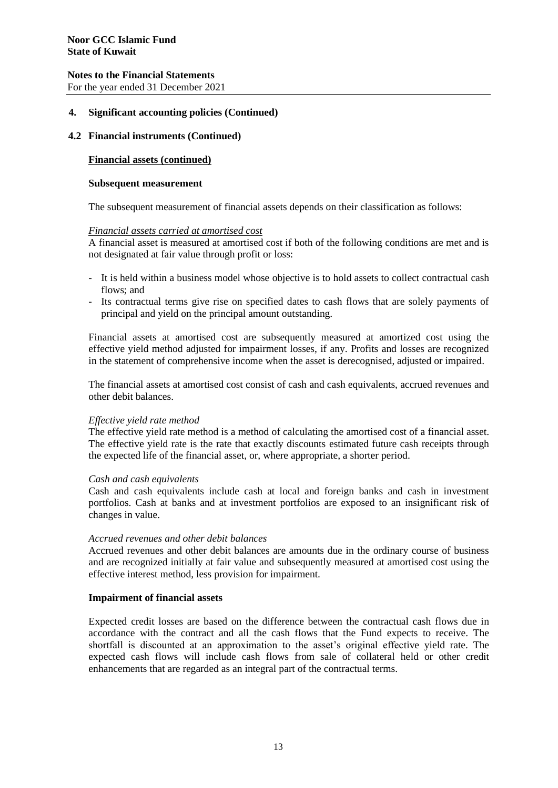For the year ended 31 December 2021

### **4. Significant accounting policies (Continued)**

### **4.2 Financial instruments (Continued)**

### **Financial assets (continued)**

#### **Subsequent measurement**

The subsequent measurement of financial assets depends on their classification as follows:

#### *Financial assets carried at amortised cost*

A financial asset is measured at amortised cost if both of the following conditions are met and is not designated at fair value through profit or loss:

- It is held within a business model whose objective is to hold assets to collect contractual cash flows; and
- Its contractual terms give rise on specified dates to cash flows that are solely payments of principal and yield on the principal amount outstanding.

Financial assets at amortised cost are subsequently measured at amortized cost using the effective yield method adjusted for impairment losses, if any. Profits and losses are recognized in the statement of comprehensive income when the asset is derecognised, adjusted or impaired.

The financial assets at amortised cost consist of cash and cash equivalents, accrued revenues and other debit balances.

#### *Effective yield rate method*

The effective yield rate method is a method of calculating the amortised cost of a financial asset. The effective yield rate is the rate that exactly discounts estimated future cash receipts through the expected life of the financial asset, or, where appropriate, a shorter period.

#### *Cash and cash equivalents*

Cash and cash equivalents include cash at local and foreign banks and cash in investment portfolios. Cash at banks and at investment portfolios are exposed to an insignificant risk of changes in value.

#### *Accrued revenues and other debit balances*

Accrued revenues and other debit balances are amounts due in the ordinary course of business and are recognized initially at fair value and subsequently measured at amortised cost using the effective interest method, less provision for impairment.

#### **Impairment of financial assets**

Expected credit losses are based on the difference between the contractual cash flows due in accordance with the contract and all the cash flows that the Fund expects to receive. The shortfall is discounted at an approximation to the asset's original effective yield rate. The expected cash flows will include cash flows from sale of collateral held or other credit enhancements that are regarded as an integral part of the contractual terms.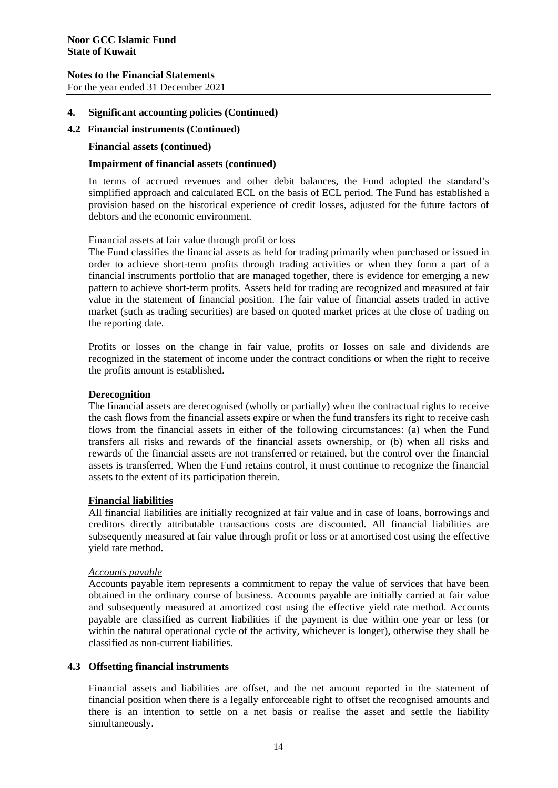For the year ended 31 December 2021

### **4. Significant accounting policies (Continued)**

### **4.2 Financial instruments (Continued)**

#### **Financial assets (continued)**

# **Impairment of financial assets (continued)**

In terms of accrued revenues and other debit balances, the Fund adopted the standard's simplified approach and calculated ECL on the basis of ECL period. The Fund has established a provision based on the historical experience of credit losses, adjusted for the future factors of debtors and the economic environment.

### Financial assets at fair value through profit or loss

The Fund classifies the financial assets as held for trading primarily when purchased or issued in order to achieve short-term profits through trading activities or when they form a part of a financial instruments portfolio that are managed together, there is evidence for emerging a new pattern to achieve short-term profits. Assets held for trading are recognized and measured at fair value in the statement of financial position. The fair value of financial assets traded in active market (such as trading securities) are based on quoted market prices at the close of trading on the reporting date.

Profits or losses on the change in fair value, profits or losses on sale and dividends are recognized in the statement of income under the contract conditions or when the right to receive the profits amount is established.

### **Derecognition**

The financial assets are derecognised (wholly or partially) when the contractual rights to receive the cash flows from the financial assets expire or when the fund transfers its right to receive cash flows from the financial assets in either of the following circumstances: (a) when the Fund transfers all risks and rewards of the financial assets ownership, or (b) when all risks and rewards of the financial assets are not transferred or retained, but the control over the financial assets is transferred. When the Fund retains control, it must continue to recognize the financial assets to the extent of its participation therein.

# **Financial liabilities**

All financial liabilities are initially recognized at fair value and in case of loans, borrowings and creditors directly attributable transactions costs are discounted. All financial liabilities are subsequently measured at fair value through profit or loss or at amortised cost using the effective yield rate method.

#### *Accounts payable*

Accounts payable item represents a commitment to repay the value of services that have been obtained in the ordinary course of business. Accounts payable are initially carried at fair value and subsequently measured at amortized cost using the effective yield rate method. Accounts payable are classified as current liabilities if the payment is due within one year or less (or within the natural operational cycle of the activity, whichever is longer), otherwise they shall be classified as non-current liabilities.

# **4.3 Offsetting financial instruments**

Financial assets and liabilities are offset, and the net amount reported in the statement of financial position when there is a legally enforceable right to offset the recognised amounts and there is an intention to settle on a net basis or realise the asset and settle the liability simultaneously.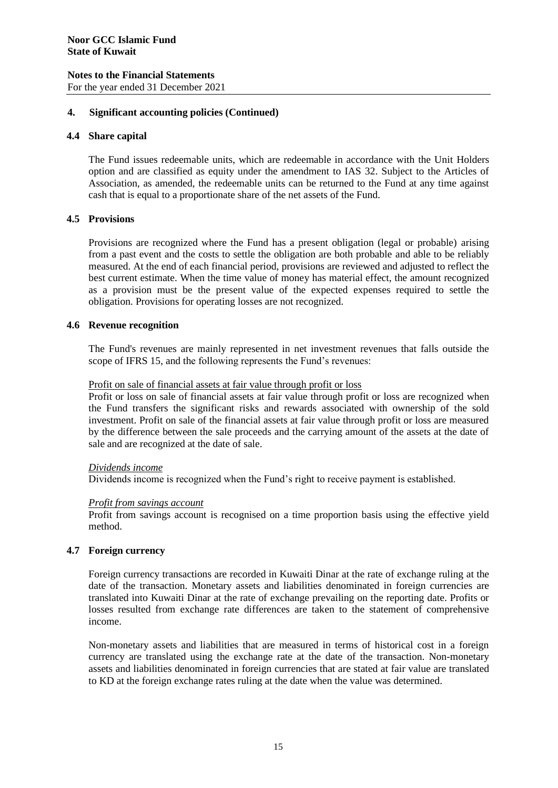# **Notes to the Financial Statements** For the year ended 31 December 2021

# **4. Significant accounting policies (Continued)**

# **4.4 Share capital**

The Fund issues redeemable units, which are redeemable in accordance with the Unit Holders option and are classified as equity under the amendment to IAS 32. Subject to the Articles of Association, as amended, the redeemable units can be returned to the Fund at any time against cash that is equal to a proportionate share of the net assets of the Fund.

# **4.5 Provisions**

Provisions are recognized where the Fund has a present obligation (legal or probable) arising from a past event and the costs to settle the obligation are both probable and able to be reliably measured. At the end of each financial period, provisions are reviewed and adjusted to reflect the best current estimate. When the time value of money has material effect, the amount recognized as a provision must be the present value of the expected expenses required to settle the obligation. Provisions for operating losses are not recognized.

# **4.6 Revenue recognition**

The Fund's revenues are mainly represented in net investment revenues that falls outside the scope of IFRS 15, and the following represents the Fund's revenues:

# Profit on sale of financial assets at fair value through profit or loss

Profit or loss on sale of financial assets at fair value through profit or loss are recognized when the Fund transfers the significant risks and rewards associated with ownership of the sold investment. Profit on sale of the financial assets at fair value through profit or loss are measured by the difference between the sale proceeds and the carrying amount of the assets at the date of sale and are recognized at the date of sale.

# *Dividends income*

Dividends income is recognized when the Fund's right to receive payment is established.

# *Profit from savings account*

Profit from savings account is recognised on a time proportion basis using the effective yield method.

# **4.7 Foreign currency**

Foreign currency transactions are recorded in Kuwaiti Dinar at the rate of exchange ruling at the date of the transaction. Monetary assets and liabilities denominated in foreign currencies are translated into Kuwaiti Dinar at the rate of exchange prevailing on the reporting date. Profits or losses resulted from exchange rate differences are taken to the statement of comprehensive income.

Non-monetary assets and liabilities that are measured in terms of historical cost in a foreign currency are translated using the exchange rate at the date of the transaction. Non-monetary assets and liabilities denominated in foreign currencies that are stated at fair value are translated to KD at the foreign exchange rates ruling at the date when the value was determined.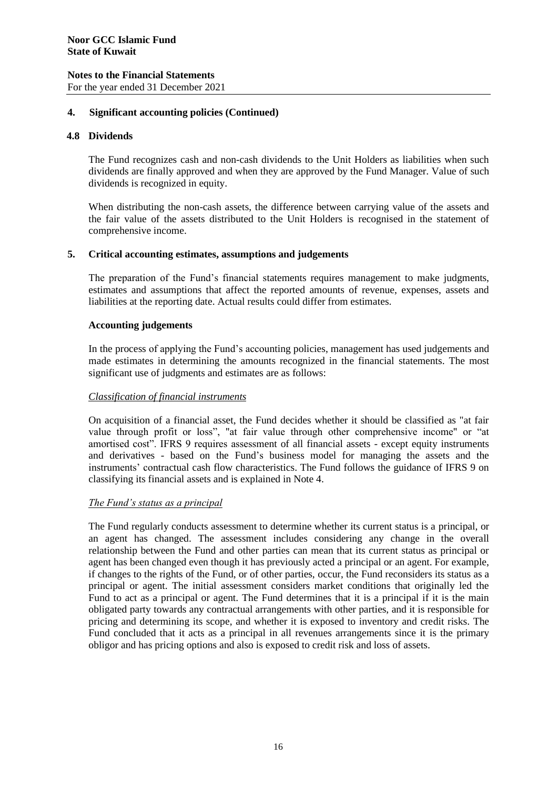# **4. Significant accounting policies (Continued)**

# **4.8 Dividends**

The Fund recognizes cash and non-cash dividends to the Unit Holders as liabilities when such dividends are finally approved and when they are approved by the Fund Manager. Value of such dividends is recognized in equity.

When distributing the non-cash assets, the difference between carrying value of the assets and the fair value of the assets distributed to the Unit Holders is recognised in the statement of comprehensive income.

# **5. Critical accounting estimates, assumptions and judgements**

The preparation of the Fund's financial statements requires management to make judgments, estimates and assumptions that affect the reported amounts of revenue, expenses, assets and liabilities at the reporting date. Actual results could differ from estimates.

# **Accounting judgements**

In the process of applying the Fund's accounting policies, management has used judgements and made estimates in determining the amounts recognized in the financial statements. The most significant use of judgments and estimates are as follows:

# *Classification of financial instruments*

On acquisition of a financial asset, the Fund decides whether it should be classified as "at fair value through profit or loss", "at fair value through other comprehensive income" or "at amortised cost". IFRS 9 requires assessment of all financial assets - except equity instruments and derivatives - based on the Fund's business model for managing the assets and the instruments' contractual cash flow characteristics. The Fund follows the guidance of IFRS 9 on classifying its financial assets and is explained in Note 4.

# *The Fund's status as a principal*

The Fund regularly conducts assessment to determine whether its current status is a principal, or an agent has changed. The assessment includes considering any change in the overall relationship between the Fund and other parties can mean that its current status as principal or agent has been changed even though it has previously acted a principal or an agent. For example, if changes to the rights of the Fund, or of other parties, occur, the Fund reconsiders its status as a principal or agent. The initial assessment considers market conditions that originally led the Fund to act as a principal or agent. The Fund determines that it is a principal if it is the main obligated party towards any contractual arrangements with other parties, and it is responsible for pricing and determining its scope, and whether it is exposed to inventory and credit risks. The Fund concluded that it acts as a principal in all revenues arrangements since it is the primary obligor and has pricing options and also is exposed to credit risk and loss of assets.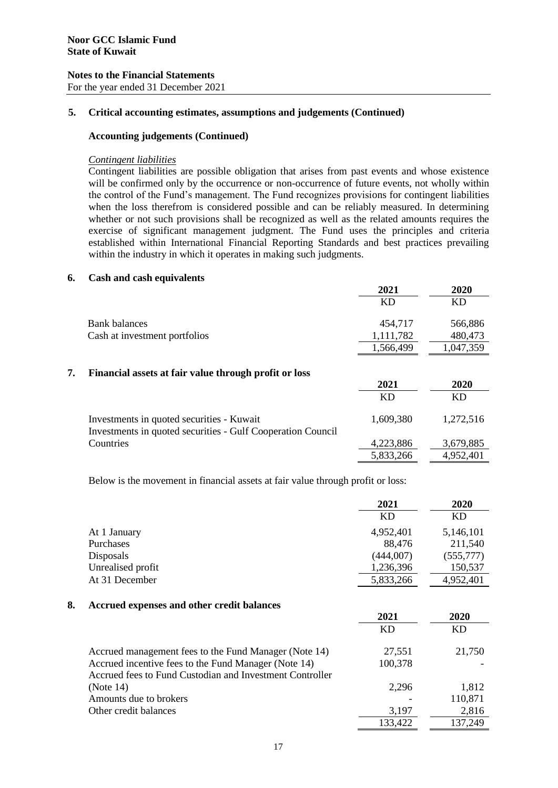For the year ended 31 December 2021

# **5. Critical accounting estimates, assumptions and judgements (Continued)**

# **Accounting judgements (Continued)**

### *Contingent liabilities*

Contingent liabilities are possible obligation that arises from past events and whose existence will be confirmed only by the occurrence or non-occurrence of future events, not wholly within the control of the Fund's management. The Fund recognizes provisions for contingent liabilities when the loss therefrom is considered possible and can be reliably measured. In determining whether or not such provisions shall be recognized as well as the related amounts requires the exercise of significant management judgment. The Fund uses the principles and criteria established within International Financial Reporting Standards and best practices prevailing within the industry in which it operates in making such judgments.

### **6. Cash and cash equivalents**

|    |                                                                                                          | 2021      | 2020      |
|----|----------------------------------------------------------------------------------------------------------|-----------|-----------|
|    |                                                                                                          | KD        | KD        |
|    | <b>Bank balances</b>                                                                                     | 454,717   | 566,886   |
|    | Cash at investment portfolios                                                                            | 1,111,782 | 480,473   |
|    |                                                                                                          | 1,566,499 | 1,047,359 |
| 7. | Financial assets at fair value through profit or loss                                                    |           |           |
|    |                                                                                                          | 2021      | 2020      |
|    |                                                                                                          | <b>KD</b> | KD        |
|    | Investments in quoted securities - Kuwait<br>Investments in quoted securities - Gulf Cooperation Council | 1,609,380 | 1,272,516 |
|    | Countries                                                                                                | 4,223,886 | 3,679,885 |
|    |                                                                                                          | 5,833,266 | 4,952,401 |

Below is the movement in financial assets at fair value through profit or loss:

|    |                                                          | 2021      | 2020      |
|----|----------------------------------------------------------|-----------|-----------|
|    |                                                          | <b>KD</b> | KD        |
|    | At 1 January                                             | 4,952,401 | 5,146,101 |
|    | Purchases                                                | 88,476    | 211,540   |
|    | Disposals                                                | (444,007) | (555,777) |
|    | Unrealised profit                                        | 1,236,396 | 150,537   |
|    | At 31 December                                           | 5,833,266 | 4,952,401 |
| 8. | Accrued expenses and other credit balances               |           |           |
|    |                                                          | 2021      | 2020      |
|    |                                                          | <b>KD</b> | <b>KD</b> |
|    | Accrued management fees to the Fund Manager (Note 14)    | 27,551    | 21,750    |
|    | Accrued incentive fees to the Fund Manager (Note 14)     | 100,378   |           |
|    | Accrued fees to Fund Custodian and Investment Controller |           |           |
|    | (Note 14)                                                | 2,296     | 1,812     |
|    | Amounts due to brokers                                   |           | 110,871   |
|    | Other credit balances                                    | 3,197     | 2,816     |
|    |                                                          | 133,422   | 137,249   |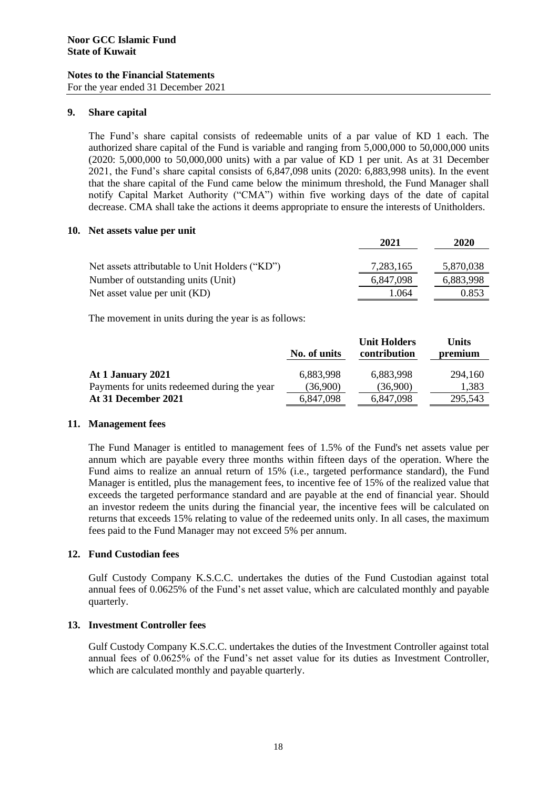For the year ended 31 December 2021

# **9. Share capital**

The Fund's share capital consists of redeemable units of a par value of KD 1 each. The authorized share capital of the Fund is variable and ranging from 5,000,000 to 50,000,000 units (2020: 5,000,000 to 50,000,000 units) with a par value of KD 1 per unit. As at 31 December 2021, the Fund's share capital consists of 6,847,098 units (2020: 6,883,998 units). In the event that the share capital of the Fund came below the minimum threshold, the Fund Manager shall notify Capital Market Authority ("CMA") within five working days of the date of capital decrease. CMA shall take the actions it deems appropriate to ensure the interests of Unitholders.

# **10. Net assets value per unit**

|                                                | 2021      | <b>2020</b> |
|------------------------------------------------|-----------|-------------|
|                                                |           |             |
| Net assets attributable to Unit Holders ("KD") | 7,283,165 | 5,870,038   |
| Number of outstanding units (Unit)             | 6,847,098 | 6,883,998   |
| Net asset value per unit (KD)                  | 1.064     | 0.853       |

The movement in units during the year is as follows:

|                                             | No. of units | <b>Unit Holders</b><br>contribution | <b>Units</b><br>premium |
|---------------------------------------------|--------------|-------------------------------------|-------------------------|
| At 1 January 2021                           | 6,883,998    | 6,883,998                           | 294,160                 |
| Payments for units redeemed during the year | (36,900)     | (36,900)                            | 1,383                   |
| At 31 December 2021                         | 6,847,098    | 6,847,098                           | 295.543                 |

# **11. Management fees**

The Fund Manager is entitled to management fees of 1.5% of the Fund's net assets value per annum which are payable every three months within fifteen days of the operation. Where the Fund aims to realize an annual return of 15% (i.e., targeted performance standard), the Fund Manager is entitled, plus the management fees, to incentive fee of 15% of the realized value that exceeds the targeted performance standard and are payable at the end of financial year. Should an investor redeem the units during the financial year, the incentive fees will be calculated on returns that exceeds 15% relating to value of the redeemed units only. In all cases, the maximum fees paid to the Fund Manager may not exceed 5% per annum.

# **12. Fund Custodian fees**

Gulf Custody Company K.S.C.C. undertakes the duties of the Fund Custodian against total annual fees of 0.0625% of the Fund's net asset value, which are calculated monthly and payable quarterly.

# **13. Investment Controller fees**

Gulf Custody Company K.S.C.C. undertakes the duties of the Investment Controller against total annual fees of 0.0625% of the Fund's net asset value for its duties as Investment Controller, which are calculated monthly and payable quarterly.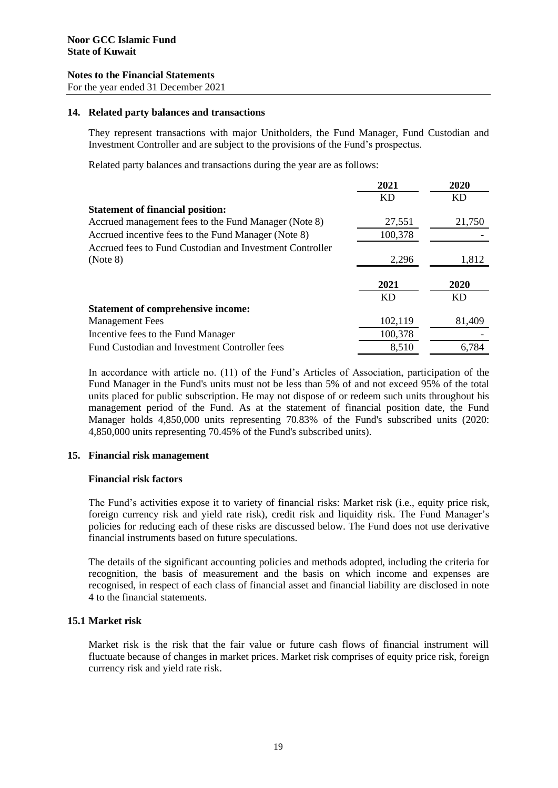For the year ended 31 December 2021

#### **14. Related party balances and transactions**

They represent transactions with major Unitholders, the Fund Manager, Fund Custodian and Investment Controller and are subject to the provisions of the Fund's prospectus.

Related party balances and transactions during the year are as follows:

|                                                          | 2021      | 2020   |
|----------------------------------------------------------|-----------|--------|
|                                                          | <b>KD</b> | KD     |
| <b>Statement of financial position:</b>                  |           |        |
| Accrued management fees to the Fund Manager (Note 8)     | 27,551    | 21,750 |
| Accrued incentive fees to the Fund Manager (Note 8)      | 100,378   |        |
| Accrued fees to Fund Custodian and Investment Controller |           |        |
| (Note 8)                                                 | 2.296     | 1,812  |
|                                                          |           |        |
|                                                          | 2021      | 2020   |
|                                                          | KD        | KD     |
| <b>Statement of comprehensive income:</b>                |           |        |
| <b>Management Fees</b>                                   | 102,119   | 81,409 |
| Incentive fees to the Fund Manager                       | 100,378   |        |
| Fund Custodian and Investment Controller fees            | 8,510     | 6.784  |

In accordance with article no. (11) of the Fund's Articles of Association, participation of the Fund Manager in the Fund's units must not be less than 5% of and not exceed 95% of the total units placed for public subscription. He may not dispose of or redeem such units throughout his management period of the Fund. As at the statement of financial position date, the Fund Manager holds 4,850,000 units representing 70.83% of the Fund's subscribed units (2020: 4,850,000 units representing 70.45% of the Fund's subscribed units).

# **15. Financial risk management**

#### **Financial risk factors**

The Fund's activities expose it to variety of financial risks: Market risk (i.e., equity price risk, foreign currency risk and yield rate risk), credit risk and liquidity risk. The Fund Manager's policies for reducing each of these risks are discussed below. The Fund does not use derivative financial instruments based on future speculations.

The details of the significant accounting policies and methods adopted, including the criteria for recognition, the basis of measurement and the basis on which income and expenses are recognised, in respect of each class of financial asset and financial liability are disclosed in note 4 to the financial statements.

# **15.1 Market risk**

Market risk is the risk that the fair value or future cash flows of financial instrument will fluctuate because of changes in market prices. Market risk comprises of equity price risk, foreign currency risk and yield rate risk.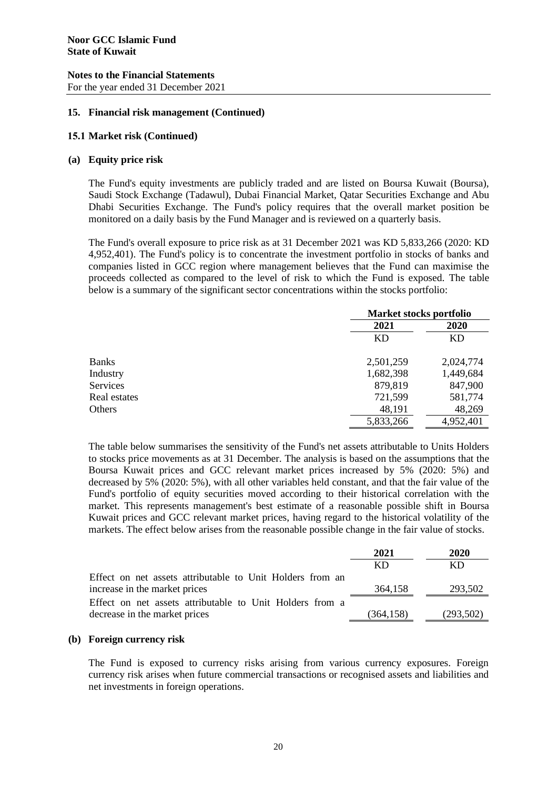### **Notes to the Financial Statements** For the year ended 31 December 2021

# **15. Financial risk management (Continued)**

### **15.1 Market risk (Continued)**

### **(a) Equity price risk**

The Fund's equity investments are publicly traded and are listed on Boursa Kuwait (Boursa), Saudi Stock Exchange (Tadawul), Dubai Financial Market, Qatar Securities Exchange and Abu Dhabi Securities Exchange. The Fund's policy requires that the overall market position be monitored on a daily basis by the Fund Manager and is reviewed on a quarterly basis.

The Fund's overall exposure to price risk as at 31 December 2021 was KD 5,833,266 (2020: KD 4,952,401). The Fund's policy is to concentrate the investment portfolio in stocks of banks and companies listed in GCC region where management believes that the Fund can maximise the proceeds collected as compared to the level of risk to which the Fund is exposed. The table below is a summary of the significant sector concentrations within the stocks portfolio:

|                 |           | <b>Market stocks portfolio</b> |  |
|-----------------|-----------|--------------------------------|--|
|                 | 2021      | 2020                           |  |
|                 | <b>KD</b> | KD                             |  |
| <b>Banks</b>    | 2,501,259 | 2,024,774                      |  |
| Industry        | 1,682,398 | 1,449,684                      |  |
| <b>Services</b> | 879,819   | 847,900                        |  |
| Real estates    | 721,599   | 581,774                        |  |
| Others          | 48,191    | 48,269                         |  |
|                 | 5,833,266 | 4,952,401                      |  |

The table below summarises the sensitivity of the Fund's net assets attributable to Units Holders to stocks price movements as at 31 December. The analysis is based on the assumptions that the Boursa Kuwait prices and GCC relevant market prices increased by 5% (2020: 5%) and decreased by 5% (2020: 5%), with all other variables held constant, and that the fair value of the Fund's portfolio of equity securities moved according to their historical correlation with the market. This represents management's best estimate of a reasonable possible shift in Boursa Kuwait prices and GCC relevant market prices, having regard to the historical volatility of the markets. The effect below arises from the reasonable possible change in the fair value of stocks.

|                                                           | 2021      | 2020      |
|-----------------------------------------------------------|-----------|-----------|
|                                                           | KD.       | KD        |
| Effect on net assets attributable to Unit Holders from an |           |           |
| increase in the market prices                             | 364,158   | 293,502   |
| Effect on net assets attributable to Unit Holders from a  |           |           |
| decrease in the market prices                             | (364,158) | (293,502) |

# **(b) Foreign currency risk**

The Fund is exposed to currency risks arising from various currency exposures. Foreign currency risk arises when future commercial transactions or recognised assets and liabilities and net investments in foreign operations.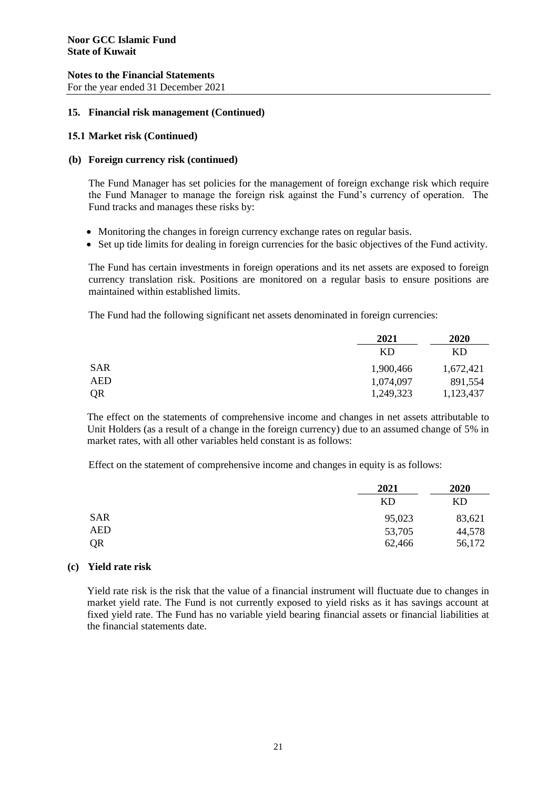For the year ended 31 December 2021

### **15. Financial risk management (Continued)**

### **15.1 Market risk (Continued)**

### **(b) Foreign currency risk (continued)**

The Fund Manager has set policies for the management of foreign exchange risk which require the Fund Manager to manage the foreign risk against the Fund's currency of operation. The Fund tracks and manages these risks by:

- Monitoring the changes in foreign currency exchange rates on regular basis.
- Set up tide limits for dealing in foreign currencies for the basic objectives of the Fund activity.

The Fund has certain investments in foreign operations and its net assets are exposed to foreign currency translation risk. Positions are monitored on a regular basis to ensure positions are maintained within established limits.

The Fund had the following significant net assets denominated in foreign currencies:

|            | 2021      | 2020      |
|------------|-----------|-----------|
|            | KD        | KD        |
| <b>SAR</b> | 1,900,466 | 1,672,421 |
| <b>AED</b> | 1,074,097 | 891,554   |
| QR         | 1,249,323 | 1,123,437 |

The effect on the statements of comprehensive income and changes in net assets attributable to Unit Holders (as a result of a change in the foreign currency) due to an assumed change of 5% in market rates, with all other variables held constant is as follows:

Effect on the statement of comprehensive income and changes in equity is as follows:

|            | 2021   | 2020<br>KD |
|------------|--------|------------|
|            | KD     |            |
| <b>SAR</b> | 95,023 | 83,621     |
| <b>AED</b> | 53,705 | 44,578     |
| QR         | 62,466 | 56,172     |

#### **(c) Yield rate risk**

Yield rate risk is the risk that the value of a financial instrument will fluctuate due to changes in market yield rate. The Fund is not currently exposed to yield risks as it has savings account at fixed yield rate. The Fund has no variable yield bearing financial assets or financial liabilities at the financial statements date.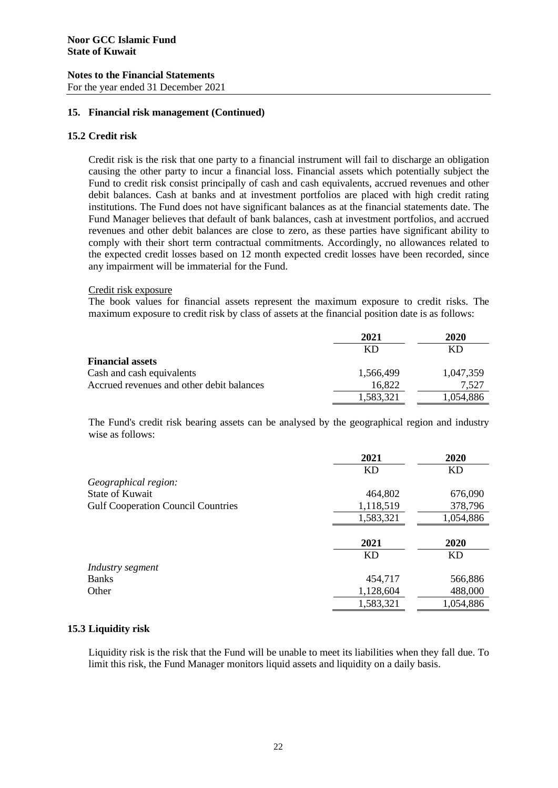### **Notes to the Financial Statements** For the year ended 31 December 2021

# **15. Financial risk management (Continued)**

# **15.2 Credit risk**

Credit risk is the risk that one party to a financial instrument will fail to discharge an obligation causing the other party to incur a financial loss. Financial assets which potentially subject the Fund to credit risk consist principally of cash and cash equivalents, accrued revenues and other debit balances. Cash at banks and at investment portfolios are placed with high credit rating institutions. The Fund does not have significant balances as at the financial statements date. The Fund Manager believes that default of bank balances, cash at investment portfolios, and accrued revenues and other debit balances are close to zero, as these parties have significant ability to comply with their short term contractual commitments. Accordingly, no allowances related to the expected credit losses based on 12 month expected credit losses have been recorded, since any impairment will be immaterial for the Fund.

### Credit risk exposure

The book values for financial assets represent the maximum exposure to credit risks. The maximum exposure to credit risk by class of assets at the financial position date is as follows:

|                                           | 2021      | 2020      |
|-------------------------------------------|-----------|-----------|
|                                           | KD        | KD        |
| <b>Financial assets</b>                   |           |           |
| Cash and cash equivalents                 | 1,566,499 | 1,047,359 |
| Accrued revenues and other debit balances | 16,822    | 7,527     |
|                                           | 1,583,321 | 1,054,886 |

The Fund's credit risk bearing assets can be analysed by the geographical region and industry wise as follows:

|                                           | 2021      | 2020      |
|-------------------------------------------|-----------|-----------|
|                                           | <b>KD</b> | <b>KD</b> |
| Geographical region:                      |           |           |
| <b>State of Kuwait</b>                    | 464,802   | 676,090   |
| <b>Gulf Cooperation Council Countries</b> | 1,118,519 | 378,796   |
|                                           | 1,583,321 | 1,054,886 |
|                                           |           |           |
|                                           | 2021      | 2020      |
|                                           | KD        | <b>KD</b> |
| Industry segment                          |           |           |
| Banks                                     | 454,717   | 566,886   |
| Other                                     | 1,128,604 | 488,000   |
|                                           | 1,583,321 | 1,054,886 |

# **15.3 Liquidity risk**

Liquidity risk is the risk that the Fund will be unable to meet its liabilities when they fall due. To limit this risk, the Fund Manager monitors liquid assets and liquidity on a daily basis.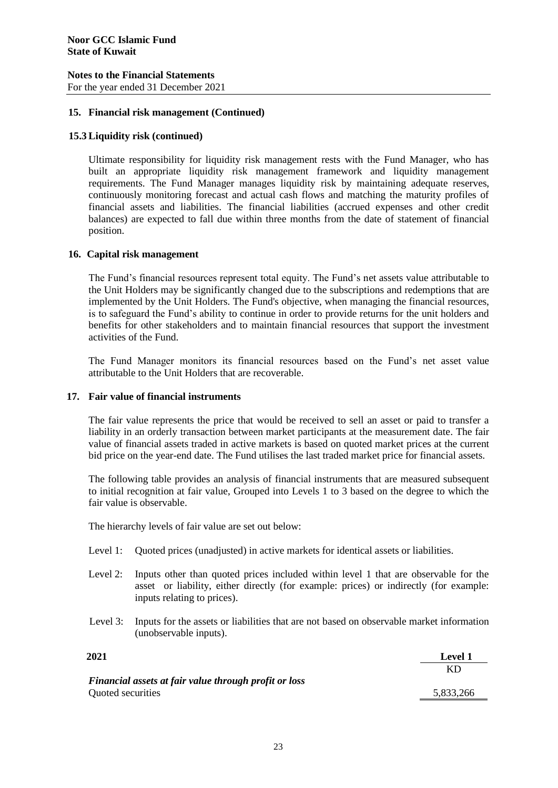For the year ended 31 December 2021

# **15. Financial risk management (Continued)**

### **15.3 Liquidity risk (continued)**

Ultimate responsibility for liquidity risk management rests with the Fund Manager, who has built an appropriate liquidity risk management framework and liquidity management requirements. The Fund Manager manages liquidity risk by maintaining adequate reserves, continuously monitoring forecast and actual cash flows and matching the maturity profiles of financial assets and liabilities. The financial liabilities (accrued expenses and other credit balances) are expected to fall due within three months from the date of statement of financial position.

### **16. Capital risk management**

The Fund's financial resources represent total equity. The Fund's net assets value attributable to the Unit Holders may be significantly changed due to the subscriptions and redemptions that are implemented by the Unit Holders. The Fund's objective, when managing the financial resources, is to safeguard the Fund's ability to continue in order to provide returns for the unit holders and benefits for other stakeholders and to maintain financial resources that support the investment activities of the Fund.

The Fund Manager monitors its financial resources based on the Fund's net asset value attributable to the Unit Holders that are recoverable.

#### **17. Fair value of financial instruments**

The fair value represents the price that would be received to sell an asset or paid to transfer a liability in an orderly transaction between market participants at the measurement date. The fair value of financial assets traded in active markets is based on quoted market prices at the current bid price on the year-end date. The Fund utilises the last traded market price for financial assets.

The following table provides an analysis of financial instruments that are measured subsequent to initial recognition at fair value, Grouped into Levels 1 to 3 based on the degree to which the fair value is observable.

The hierarchy levels of fair value are set out below:

- Level 1: Quoted prices (unadjusted) in active markets for identical assets or liabilities.
- Level 2: Inputs other than quoted prices included within level 1 that are observable for the asset or liability, either directly (for example: prices) or indirectly (for example: inputs relating to prices).
- Level 3: Inputs for the assets or liabilities that are not based on observable market information (unobservable inputs).

| 2021                                                  | <b>Level 1</b> |
|-------------------------------------------------------|----------------|
|                                                       | KD             |
| Financial assets at fair value through profit or loss |                |
| Quoted securities                                     | 5,833,266      |